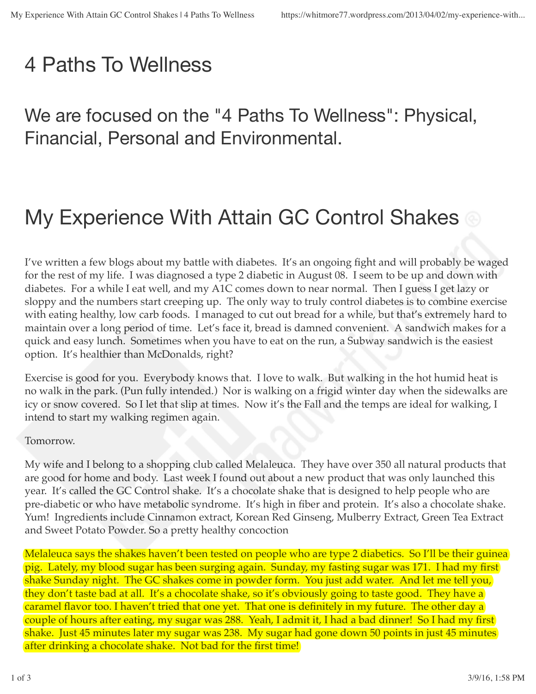# 4 Paths To Wellness

We are focused on the "4 Paths To Wellness": Physical, Financial, Personal and Environmental.

# My Experience With Attain GC Control Shakes  $\circledcirc$

I've written a few blogs about my battle with diabetes. It's an ongoing fight and will probably be waged for the rest of my life. I was diagnosed a type 2 diabetic in August 08. I seem to be up and down with diabetes. For a while I eat well, and my A1C comes down to near normal. Then I guess I get lazy or sloppy and the numbers start creeping up. The only way to truly control diabetes is to combine exercise with eating healthy, low carb foods. I managed to cut out bread for a while, but that's extremely hard to maintain over a long period of time. Let's face it, bread is damned convenient. A sandwich makes for a quick and easy lunch. Sometimes when you have to eat on the run, a Subway sandwich is the easiest option. It's healthier than McDonalds, right?

Exercise is good for you. Everybody knows that. I love to walk. But walking in the hot humid heat is no walk in the park. (Pun fully intended.) Nor is walking on a frigid winter day when the sidewalks are icy or snow covered. So I let that slip at times. Now it's the Fall and the temps are ideal for walking, I intend to start my walking regimen again.

### Tomorrow.

My wife and I belong to a shopping club called Melaleuca. They have over 350 all natural products that are good for home and body. Last week I found out about a new product that was only launched this year. It's called the GC Control shake. It's a chocolate shake that is designed to help people who are pre-diabetic or who have metabolic syndrome. It's high in fiber and protein. It's also a chocolate shake. Yum! Ingredients include Cinnamon extract, Korean Red Ginseng, Mulberry Extract, Green Tea Extract and Sweet Potato Powder. So a pretty healthy concoction

Melaleuca says the shakes haven't been tested on people who are type 2 diabetics. So I'll be their guinea pig. Lately, my blood sugar has been surging again. Sunday, my fasting sugar was 171. I had my first shake Sunday night. The GC shakes come in powder form. You just add water. And let me tell you, they don't taste bad at all. It's a chocolate shake, so it's obviously going to taste good. They have a caramel flavor too. I haven't tried that one yet. That one is definitely in my future. The other day a couple of hours after eating, my sugar was 288. Yeah, I admit it, I had a bad dinner! So I had my first shake. Just 45 minutes later my sugar was 238. My sugar had gone down 50 points in just 45 minutes after drinking a chocolate shake. Not bad for the first time!